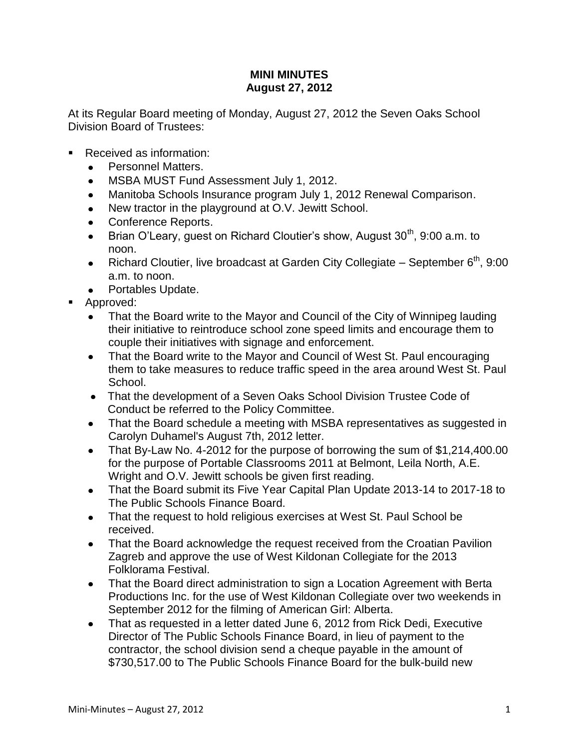## **MINI MINUTES August 27, 2012**

At its Regular Board meeting of Monday, August 27, 2012 the Seven Oaks School Division Board of Trustees:

- Received as information:
	- Personnel Matters.
	- MSBA MUST Fund Assessment July 1, 2012.
	- Manitoba Schools Insurance program July 1, 2012 Renewal Comparison.  $\bullet$
	- New tractor in the playground at O.V. Jewitt School.  $\bullet$
	- Conference Reports.
	- Brian O'Leary, guest on Richard Cloutier's show, August  $30<sup>th</sup>$ , 9:00 a.m. to  $\bullet$ noon.
	- Richard Cloutier, live broadcast at Garden City Collegiate September  $6<sup>th</sup>$ , 9:00  $\bullet$ a.m. to noon.
	- Portables Update.
- Approved:
	- That the Board write to the Mayor and Council of the City of Winnipeg lauding their initiative to reintroduce school zone speed limits and encourage them to couple their initiatives with signage and enforcement.
	- That the Board write to the Mayor and Council of West St. Paul encouraging  $\bullet$ them to take measures to reduce traffic speed in the area around West St. Paul School.
	- That the development of a Seven Oaks School Division Trustee Code of Conduct be referred to the Policy Committee.
	- That the Board schedule a meeting with MSBA representatives as suggested in  $\bullet$ Carolyn Duhamel's August 7th, 2012 letter.
	- That By-Law No. 4-2012 for the purpose of borrowing the sum of \$1,214,400.00  $\bullet$ for the purpose of Portable Classrooms 2011 at Belmont, Leila North, A.E. Wright and O.V. Jewitt schools be given first reading.
	- That the Board submit its Five Year Capital Plan Update 2013-14 to 2017-18 to  $\bullet$ The Public Schools Finance Board.
	- That the request to hold religious exercises at West St. Paul School be  $\bullet$ received.
	- That the Board acknowledge the request received from the Croatian Pavilion  $\bullet$ Zagreb and approve the use of West Kildonan Collegiate for the 2013 Folklorama Festival.
	- That the Board direct administration to sign a Location Agreement with Berta  $\bullet$ Productions Inc. for the use of West Kildonan Collegiate over two weekends in September 2012 for the filming of American Girl: Alberta.
	- $\bullet$ That as requested in a letter dated June 6, 2012 from Rick Dedi, Executive Director of The Public Schools Finance Board, in lieu of payment to the contractor, the school division send a cheque payable in the amount of \$730,517.00 to The Public Schools Finance Board for the bulk-build new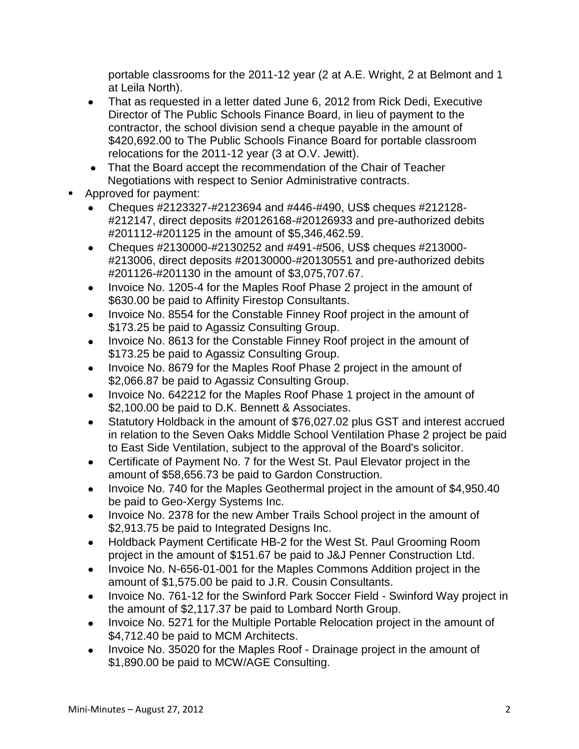portable classrooms for the 2011-12 year (2 at A.E. Wright, 2 at Belmont and 1 at Leila North).

- That as requested in a letter dated June 6, 2012 from Rick Dedi, Executive  $\bullet$ Director of The Public Schools Finance Board, in lieu of payment to the contractor, the school division send a cheque payable in the amount of \$420,692.00 to The Public Schools Finance Board for portable classroom relocations for the 2011-12 year (3 at O.V. Jewitt).
- That the Board accept the recommendation of the Chair of Teacher  $\bullet$ Negotiations with respect to Senior Administrative contracts.
- Approved for payment:
	- Cheques #2123327-#2123694 and #446-#490, US\$ cheques #212128- #212147, direct deposits #20126168-#20126933 and pre-authorized debits #201112-#201125 in the amount of \$5,346,462.59.
	- Cheques #2130000-#2130252 and #491-#506, US\$ cheques #213000- #213006, direct deposits #20130000-#20130551 and pre-authorized debits #201126-#201130 in the amount of \$3,075,707.67.
	- Invoice No. 1205-4 for the Maples Roof Phase 2 project in the amount of  $\bullet$ \$630.00 be paid to Affinity Firestop Consultants.
	- Invoice No. 8554 for the Constable Finney Roof project in the amount of  $\bullet$ \$173.25 be paid to Agassiz Consulting Group.
	- Invoice No. 8613 for the Constable Finney Roof project in the amount of  $\bullet$ \$173.25 be paid to Agassiz Consulting Group.
	- Invoice No. 8679 for the Maples Roof Phase 2 project in the amount of  $\bullet$ \$2,066.87 be paid to Agassiz Consulting Group.
	- Invoice No. 642212 for the Maples Roof Phase 1 project in the amount of  $\bullet$ \$2,100.00 be paid to D.K. Bennett & Associates.
	- Statutory Holdback in the amount of \$76,027.02 plus GST and interest accrued in relation to the Seven Oaks Middle School Ventilation Phase 2 project be paid to East Side Ventilation, subject to the approval of the Board's solicitor.
	- Certificate of Payment No. 7 for the West St. Paul Elevator project in the  $\bullet$ amount of \$58,656.73 be paid to Gardon Construction.
	- Invoice No. 740 for the Maples Geothermal project in the amount of \$4,950.40  $\bullet$ be paid to Geo-Xergy Systems Inc.
	- Invoice No. 2378 for the new Amber Trails School project in the amount of  $\bullet$ \$2,913.75 be paid to Integrated Designs Inc.
	- Holdback Payment Certificate HB-2 for the West St. Paul Grooming Room  $\bullet$ project in the amount of \$151.67 be paid to J&J Penner Construction Ltd.
	- Invoice No. N-656-01-001 for the Maples Commons Addition project in the  $\bullet$ amount of \$1,575.00 be paid to J.R. Cousin Consultants.
	- Invoice No. 761-12 for the Swinford Park Soccer Field Swinford Way project in  $\bullet$ the amount of \$2,117.37 be paid to Lombard North Group.
	- Invoice No. 5271 for the Multiple Portable Relocation project in the amount of  $\bullet$ \$4,712.40 be paid to MCM Architects.
	- Invoice No. 35020 for the Maples Roof Drainage project in the amount of \$1,890.00 be paid to MCW/AGE Consulting.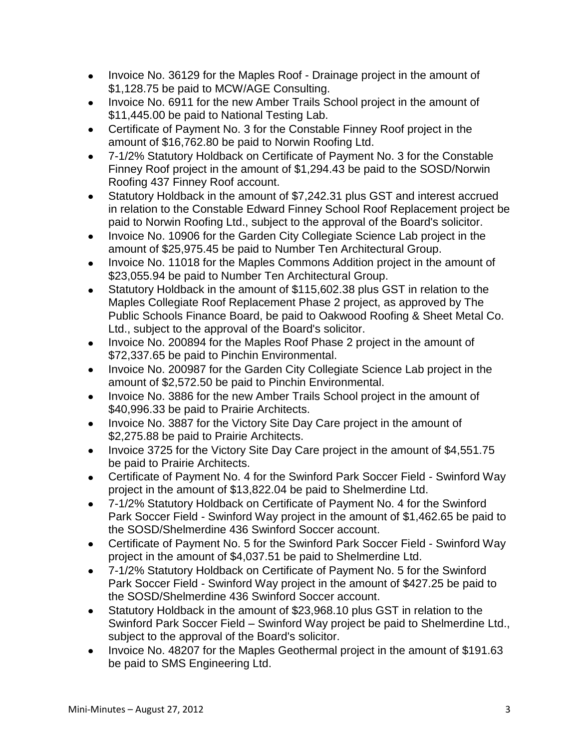- Invoice No. 36129 for the Maples Roof Drainage project in the amount of  $\bullet$ \$1,128.75 be paid to MCW/AGE Consulting.
- Invoice No. 6911 for the new Amber Trails School project in the amount of \$11,445.00 be paid to National Testing Lab.
- Certificate of Payment No. 3 for the Constable Finney Roof project in the  $\bullet$ amount of \$16,762.80 be paid to Norwin Roofing Ltd.
- 7-1/2% Statutory Holdback on Certificate of Payment No. 3 for the Constable  $\bullet$ Finney Roof project in the amount of \$1,294.43 be paid to the SOSD/Norwin Roofing 437 Finney Roof account.
- Statutory Holdback in the amount of \$7,242.31 plus GST and interest accrued  $\bullet$ in relation to the Constable Edward Finney School Roof Replacement project be paid to Norwin Roofing Ltd., subject to the approval of the Board's solicitor.
- Invoice No. 10906 for the Garden City Collegiate Science Lab project in the  $\bullet$ amount of \$25,975.45 be paid to Number Ten Architectural Group.
- Invoice No. 11018 for the Maples Commons Addition project in the amount of  $\bullet$ \$23,055.94 be paid to Number Ten Architectural Group.
- Statutory Holdback in the amount of \$115,602.38 plus GST in relation to the Maples Collegiate Roof Replacement Phase 2 project, as approved by The Public Schools Finance Board, be paid to Oakwood Roofing & Sheet Metal Co. Ltd., subject to the approval of the Board's solicitor.
- Invoice No. 200894 for the Maples Roof Phase 2 project in the amount of  $\bullet$ \$72,337.65 be paid to Pinchin Environmental.
- Invoice No. 200987 for the Garden City Collegiate Science Lab project in the  $\bullet$ amount of \$2,572.50 be paid to Pinchin Environmental.
- Invoice No. 3886 for the new Amber Trails School project in the amount of \$40,996.33 be paid to Prairie Architects.
- Invoice No. 3887 for the Victory Site Day Care project in the amount of  $\bullet$ \$2,275.88 be paid to Prairie Architects.
- Invoice 3725 for the Victory Site Day Care project in the amount of \$4,551.75 be paid to Prairie Architects.
- Certificate of Payment No. 4 for the Swinford Park Soccer Field Swinford Way project in the amount of \$13,822.04 be paid to Shelmerdine Ltd.
- 7-1/2% Statutory Holdback on Certificate of Payment No. 4 for the Swinford  $\bullet$ Park Soccer Field - Swinford Way project in the amount of \$1,462.65 be paid to the SOSD/Shelmerdine 436 Swinford Soccer account.
- Certificate of Payment No. 5 for the Swinford Park Soccer Field Swinford Way  $\bullet$ project in the amount of \$4,037.51 be paid to Shelmerdine Ltd.
- 7-1/2% Statutory Holdback on Certificate of Payment No. 5 for the Swinford  $\bullet$ Park Soccer Field - Swinford Way project in the amount of \$427.25 be paid to the SOSD/Shelmerdine 436 Swinford Soccer account.
- Statutory Holdback in the amount of \$23,968.10 plus GST in relation to the  $\bullet$ Swinford Park Soccer Field – Swinford Way project be paid to Shelmerdine Ltd., subject to the approval of the Board's solicitor.
- Invoice No. 48207 for the Maples Geothermal project in the amount of \$191.63  $\bullet$ be paid to SMS Engineering Ltd.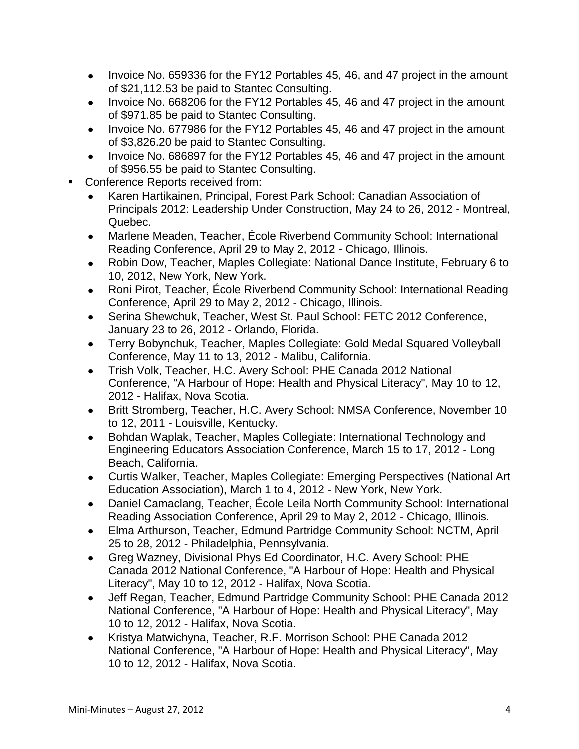- Invoice No. 659336 for the FY12 Portables 45, 46, and 47 project in the amount  $\bullet$ of \$21,112.53 be paid to Stantec Consulting.
- Invoice No. 668206 for the FY12 Portables 45, 46 and 47 project in the amount of \$971.85 be paid to Stantec Consulting.
- Invoice No. 677986 for the FY12 Portables 45, 46 and 47 project in the amount  $\bullet$ of \$3,826.20 be paid to Stantec Consulting.
- Invoice No. 686897 for the FY12 Portables 45, 46 and 47 project in the amount  $\bullet$ of \$956.55 be paid to Stantec Consulting.
- Conference Reports received from:
	- Karen Hartikainen, Principal, Forest Park School: Canadian Association of Principals 2012: Leadership Under Construction, May 24 to 26, 2012 - Montreal, Quebec.
	- Marlene Meaden, Teacher, École Riverbend Community School: International  $\bullet$ Reading Conference, April 29 to May 2, 2012 - Chicago, Illinois.
	- Robin Dow, Teacher, Maples Collegiate: National Dance Institute, February 6 to  $\bullet$ 10, 2012, New York, New York.
	- Roni Pirot, Teacher, École Riverbend Community School: International Reading Conference, April 29 to May 2, 2012 - Chicago, Illinois.
	- Serina Shewchuk, Teacher, West St. Paul School: FETC 2012 Conference,  $\bullet$ January 23 to 26, 2012 - Orlando, Florida.
	- Terry Bobynchuk, Teacher, Maples Collegiate: Gold Medal Squared Volleyball  $\bullet$ Conference, May 11 to 13, 2012 - Malibu, California.
	- Trish Volk, Teacher, H.C. Avery School: PHE Canada 2012 National  $\bullet$ Conference, "A Harbour of Hope: Health and Physical Literacy", May 10 to 12, 2012 - Halifax, Nova Scotia.
	- Britt Stromberg, Teacher, H.C. Avery School: NMSA Conference, November 10 to 12, 2011 - Louisville, Kentucky.
	- Bohdan Waplak, Teacher, Maples Collegiate: International Technology and Engineering Educators Association Conference, March 15 to 17, 2012 - Long Beach, California.
	- Curtis Walker, Teacher, Maples Collegiate: Emerging Perspectives (National Art Education Association), March 1 to 4, 2012 - New York, New York.
	- Daniel Camaclang, Teacher, École Leila North Community School: International Reading Association Conference, April 29 to May 2, 2012 - Chicago, Illinois.
	- Elma Arthurson, Teacher, Edmund Partridge Community School: NCTM, April  $\bullet$ 25 to 28, 2012 - Philadelphia, Pennsylvania.
	- Greg Wazney, Divisional Phys Ed Coordinator, H.C. Avery School: PHE Canada 2012 National Conference, "A Harbour of Hope: Health and Physical Literacy", May 10 to 12, 2012 - Halifax, Nova Scotia.
	- Jeff Regan, Teacher, Edmund Partridge Community School: PHE Canada 2012 National Conference, "A Harbour of Hope: Health and Physical Literacy", May 10 to 12, 2012 - Halifax, Nova Scotia.
	- Kristya Matwichyna, Teacher, R.F. Morrison School: PHE Canada 2012  $\bullet$ National Conference, "A Harbour of Hope: Health and Physical Literacy", May 10 to 12, 2012 - Halifax, Nova Scotia.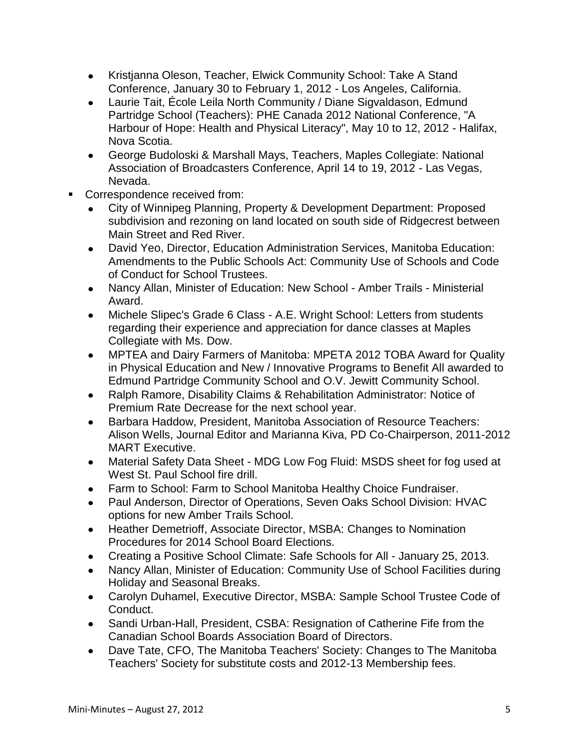- Kristjanna Oleson, Teacher, Elwick Community School: Take A Stand  $\bullet$ Conference, January 30 to February 1, 2012 - Los Angeles, California.
- Laurie Tait, École Leila North Community / Diane Sigvaldason, Edmund Partridge School (Teachers): PHE Canada 2012 National Conference, "A Harbour of Hope: Health and Physical Literacy", May 10 to 12, 2012 - Halifax, Nova Scotia.
- $\bullet$ George Budoloski & Marshall Mays, Teachers, Maples Collegiate: National Association of Broadcasters Conference, April 14 to 19, 2012 - Las Vegas, Nevada.
- Correspondence received from:
	- City of Winnipeg Planning, Property & Development Department: Proposed subdivision and rezoning on land located on south side of Ridgecrest between Main Street and Red River.
	- David Yeo, Director, Education Administration Services, Manitoba Education:  $\bullet$ Amendments to the Public Schools Act: Community Use of Schools and Code of Conduct for School Trustees.
	- Nancy Allan, Minister of Education: New School Amber Trails Ministerial  $\bullet$ Award.
	- Michele Slipec's Grade 6 Class A.E. Wright School: Letters from students  $\bullet$ regarding their experience and appreciation for dance classes at Maples Collegiate with Ms. Dow.
	- MPTEA and Dairy Farmers of Manitoba: MPETA 2012 TOBA Award for Quality  $\bullet$ in Physical Education and New / Innovative Programs to Benefit All awarded to Edmund Partridge Community School and O.V. Jewitt Community School.
	- Ralph Ramore, Disability Claims & Rehabilitation Administrator: Notice of  $\bullet$ Premium Rate Decrease for the next school year.
	- Barbara Haddow, President, Manitoba Association of Resource Teachers:  $\bullet$ Alison Wells, Journal Editor and Marianna Kiva, PD Co-Chairperson, 2011-2012 MART Executive.
	- Material Safety Data Sheet MDG Low Fog Fluid: MSDS sheet for fog used at  $\bullet$ West St. Paul School fire drill.
	- Farm to School: Farm to School Manitoba Healthy Choice Fundraiser.
	- Paul Anderson, Director of Operations, Seven Oaks School Division: HVAC  $\bullet$ options for new Amber Trails School.
	- Heather Demetrioff, Associate Director, MSBA: Changes to Nomination  $\bullet$ Procedures for 2014 School Board Elections.
	- Creating a Positive School Climate: Safe Schools for All January 25, 2013.  $\bullet$
	- Nancy Allan, Minister of Education: Community Use of School Facilities during Holiday and Seasonal Breaks.
	- Carolyn Duhamel, Executive Director, MSBA: Sample School Trustee Code of  $\bullet$ Conduct.
	- Sandi Urban-Hall, President, CSBA: Resignation of Catherine Fife from the  $\bullet$ Canadian School Boards Association Board of Directors.
	- Dave Tate, CFO, The Manitoba Teachers' Society: Changes to The Manitoba  $\bullet$ Teachers' Society for substitute costs and 2012-13 Membership fees.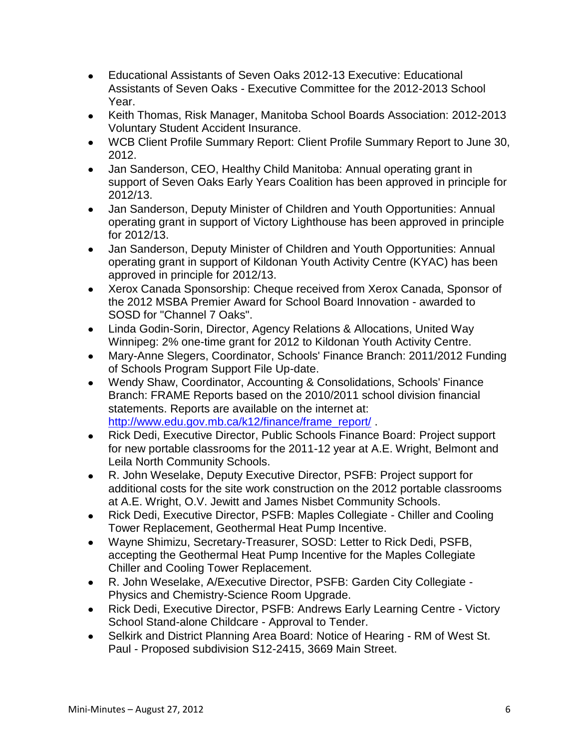- Educational Assistants of Seven Oaks 2012-13 Executive: Educational  $\bullet$ Assistants of Seven Oaks - Executive Committee for the 2012-2013 School Year.
- Keith Thomas, Risk Manager, Manitoba School Boards Association: 2012-2013  $\bullet$ Voluntary Student Accident Insurance.
- WCB Client Profile Summary Report: Client Profile Summary Report to June 30,  $\bullet$ 2012.
- Jan Sanderson, CEO, Healthy Child Manitoba: Annual operating grant in  $\bullet$ support of Seven Oaks Early Years Coalition has been approved in principle for 2012/13.
- Jan Sanderson, Deputy Minister of Children and Youth Opportunities: Annual operating grant in support of Victory Lighthouse has been approved in principle for 2012/13.
- Jan Sanderson, Deputy Minister of Children and Youth Opportunities: Annual operating grant in support of Kildonan Youth Activity Centre (KYAC) has been approved in principle for 2012/13.
- Xerox Canada Sponsorship: Cheque received from Xerox Canada, Sponsor of the 2012 MSBA Premier Award for School Board Innovation - awarded to SOSD for "Channel 7 Oaks".
- Linda Godin-Sorin, Director, Agency Relations & Allocations, United Way Winnipeg: 2% one-time grant for 2012 to Kildonan Youth Activity Centre.
- Mary-Anne Slegers, Coordinator, Schools' Finance Branch: 2011/2012 Funding  $\bullet$ of Schools Program Support File Up-date.
- Wendy Shaw, Coordinator, Accounting & Consolidations, Schools' Finance  $\bullet$ Branch: FRAME Reports based on the 2010/2011 school division financial statements. Reports are available on the internet at: [http://www.edu.gov.mb.ca/k12/finance/frame\\_report/](http://www.edu.gov.mb.ca/k12/finance/frame_report/)
- Rick Dedi, Executive Director, Public Schools Finance Board: Project support  $\bullet$ for new portable classrooms for the 2011-12 year at A.E. Wright, Belmont and Leila North Community Schools.
- R. John Weselake, Deputy Executive Director, PSFB: Project support for  $\bullet$ additional costs for the site work construction on the 2012 portable classrooms at A.E. Wright, O.V. Jewitt and James Nisbet Community Schools.
- Rick Dedi, Executive Director, PSFB: Maples Collegiate Chiller and Cooling  $\bullet$ Tower Replacement, Geothermal Heat Pump Incentive.
- Wayne Shimizu, Secretary-Treasurer, SOSD: Letter to Rick Dedi, PSFB,  $\bullet$ accepting the Geothermal Heat Pump Incentive for the Maples Collegiate Chiller and Cooling Tower Replacement.
- R. John Weselake, A/Executive Director, PSFB: Garden City Collegiate  $\bullet$ Physics and Chemistry-Science Room Upgrade.
- Rick Dedi, Executive Director, PSFB: Andrews Early Learning Centre Victory School Stand-alone Childcare - Approval to Tender.
- Selkirk and District Planning Area Board: Notice of Hearing RM of West St.  $\bullet$ Paul - Proposed subdivision S12-2415, 3669 Main Street.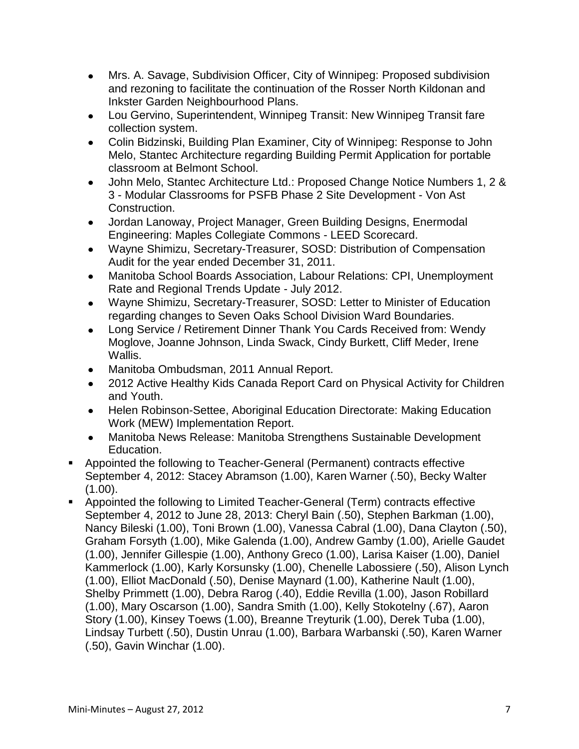- Mrs. A. Savage, Subdivision Officer, City of Winnipeg: Proposed subdivision  $\bullet$ and rezoning to facilitate the continuation of the Rosser North Kildonan and Inkster Garden Neighbourhood Plans.
- Lou Gervino, Superintendent, Winnipeg Transit: New Winnipeg Transit fare  $\bullet$ collection system.
- Colin Bidzinski, Building Plan Examiner, City of Winnipeg: Response to John  $\bullet$ Melo, Stantec Architecture regarding Building Permit Application for portable classroom at Belmont School.
- John Melo, Stantec Architecture Ltd.: Proposed Change Notice Numbers 1, 2 & 3 - Modular Classrooms for PSFB Phase 2 Site Development - Von Ast Construction.
- Jordan Lanoway, Project Manager, Green Building Designs, Enermodal  $\bullet$ Engineering: Maples Collegiate Commons - LEED Scorecard.
- Wayne Shimizu, Secretary-Treasurer, SOSD: Distribution of Compensation  $\bullet$ Audit for the year ended December 31, 2011.
- Manitoba School Boards Association, Labour Relations: CPI, Unemployment  $\bullet$ Rate and Regional Trends Update - July 2012.
- Wayne Shimizu, Secretary-Treasurer, SOSD: Letter to Minister of Education  $\bullet$ regarding changes to Seven Oaks School Division Ward Boundaries.
- Long Service / Retirement Dinner Thank You Cards Received from: Wendy Moglove, Joanne Johnson, Linda Swack, Cindy Burkett, Cliff Meder, Irene Wallis.
- Manitoba Ombudsman, 2011 Annual Report.
- 2012 Active Healthy Kids Canada Report Card on Physical Activity for Children and Youth.
- Helen Robinson-Settee, Aboriginal Education Directorate: Making Education Work (MEW) Implementation Report.
- Manitoba News Release: Manitoba Strengthens Sustainable Development Education.
- Appointed the following to Teacher-General (Permanent) contracts effective September 4, 2012: Stacey Abramson (1.00), Karen Warner (.50), Becky Walter  $(1.00)$ .
- Appointed the following to Limited Teacher-General (Term) contracts effective September 4, 2012 to June 28, 2013: Cheryl Bain (.50), Stephen Barkman (1.00), Nancy Bileski (1.00), Toni Brown (1.00), Vanessa Cabral (1.00), Dana Clayton (.50), Graham Forsyth (1.00), Mike Galenda (1.00), Andrew Gamby (1.00), Arielle Gaudet (1.00), Jennifer Gillespie (1.00), Anthony Greco (1.00), Larisa Kaiser (1.00), Daniel Kammerlock (1.00), Karly Korsunsky (1.00), Chenelle Labossiere (.50), Alison Lynch (1.00), Elliot MacDonald (.50), Denise Maynard (1.00), Katherine Nault (1.00), Shelby Primmett (1.00), Debra Rarog (.40), Eddie Revilla (1.00), Jason Robillard (1.00), Mary Oscarson (1.00), Sandra Smith (1.00), Kelly Stokotelny (.67), Aaron Story (1.00), Kinsey Toews (1.00), Breanne Treyturik (1.00), Derek Tuba (1.00), Lindsay Turbett (.50), Dustin Unrau (1.00), Barbara Warbanski (.50), Karen Warner (.50), Gavin Winchar (1.00).